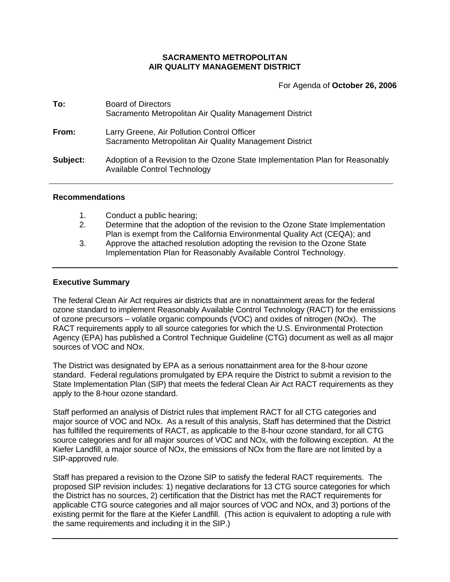# **SACRAMENTO METROPOLITAN AIR QUALITY MANAGEMENT DISTRICT**

For Agenda of **October 26, 2006**

| To:      | <b>Board of Directors</b><br>Sacramento Metropolitan Air Quality Management District                         |
|----------|--------------------------------------------------------------------------------------------------------------|
| From:    | Larry Greene, Air Pollution Control Officer<br>Sacramento Metropolitan Air Quality Management District       |
| Subject: | Adoption of a Revision to the Ozone State Implementation Plan for Reasonably<br>Available Control Technology |

### **Recommendations**

- 1. Conduct a public hearing;
- 2. Determine that the adoption of the revision to the Ozone State Implementation Plan is exempt from the California Environmental Quality Act (CEQA); and
- 3. Approve the attached resolution adopting the revision to the Ozone State Implementation Plan for Reasonably Available Control Technology.

### **Executive Summary**

The federal Clean Air Act requires air districts that are in nonattainment areas for the federal ozone standard to implement Reasonably Available Control Technology (RACT) for the emissions of ozone precursors – volatile organic compounds (VOC) and oxides of nitrogen (NOx). The RACT requirements apply to all source categories for which the U.S. Environmental Protection Agency (EPA) has published a Control Technique Guideline (CTG) document as well as all major sources of VOC and NOx.

The District was designated by EPA as a serious nonattainment area for the 8-hour ozone standard. Federal regulations promulgated by EPA require the District to submit a revision to the State Implementation Plan (SIP) that meets the federal Clean Air Act RACT requirements as they apply to the 8-hour ozone standard.

Staff performed an analysis of District rules that implement RACT for all CTG categories and major source of VOC and NOx. As a result of this analysis, Staff has determined that the District has fulfilled the requirements of RACT, as applicable to the 8-hour ozone standard, for all CTG source categories and for all major sources of VOC and NOx, with the following exception. At the Kiefer Landfill, a major source of NOx, the emissions of NOx from the flare are not limited by a SIP-approved rule.

Staff has prepared a revision to the Ozone SIP to satisfy the federal RACT requirements. The proposed SIP revision includes: 1) negative declarations for 13 CTG source categories for which the District has no sources, 2) certification that the District has met the RACT requirements for applicable CTG source categories and all major sources of VOC and NOx, and 3) portions of the existing permit for the flare at the Kiefer Landfill. (This action is equivalent to adopting a rule with the same requirements and including it in the SIP.)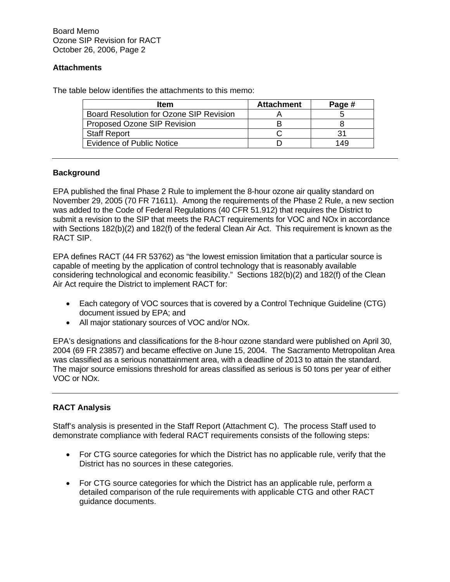Board Memo Ozone SIP Revision for RACT October 26, 2006, Page 2

# **Attachments**

The table below identifies the attachments to this memo:

| <b>Item</b>                             | <b>Attachment</b> | Page # |
|-----------------------------------------|-------------------|--------|
| Board Resolution for Ozone SIP Revision |                   |        |
| Proposed Ozone SIP Revision             |                   |        |
| <b>Staff Report</b>                     |                   | 31     |
| <b>Evidence of Public Notice</b>        |                   | 149    |

# **Background**

EPA published the final Phase 2 Rule to implement the 8-hour ozone air quality standard on November 29, 2005 (70 FR 71611). Among the requirements of the Phase 2 Rule, a new section was added to the Code of Federal Regulations (40 CFR 51.912) that requires the District to submit a revision to the SIP that meets the RACT requirements for VOC and NOx in accordance with Sections 182(b)(2) and 182(f) of the federal Clean Air Act. This requirement is known as the RACT SIP.

EPA defines RACT (44 FR 53762) as "the lowest emission limitation that a particular source is capable of meeting by the application of control technology that is reasonably available considering technological and economic feasibility." Sections 182(b)(2) and 182(f) of the Clean Air Act require the District to implement RACT for:

- Each category of VOC sources that is covered by a Control Technique Guideline (CTG) document issued by EPA; and
- All major stationary sources of VOC and/or NOx.

EPA's designations and classifications for the 8-hour ozone standard were published on April 30, 2004 (69 FR 23857) and became effective on June 15, 2004. The Sacramento Metropolitan Area was classified as a serious nonattainment area, with a deadline of 2013 to attain the standard. The major source emissions threshold for areas classified as serious is 50 tons per year of either VOC or NOx.

# **RACT Analysis**

Staff's analysis is presented in the Staff Report (Attachment C). The process Staff used to demonstrate compliance with federal RACT requirements consists of the following steps:

- For CTG source categories for which the District has no applicable rule, verify that the District has no sources in these categories.
- For CTG source categories for which the District has an applicable rule, perform a detailed comparison of the rule requirements with applicable CTG and other RACT guidance documents.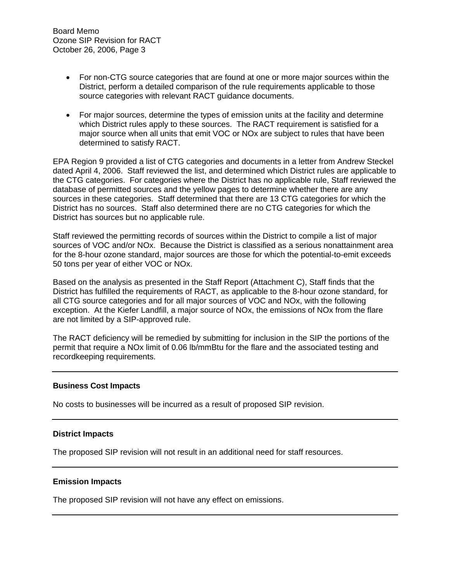- For non-CTG source categories that are found at one or more major sources within the District, perform a detailed comparison of the rule requirements applicable to those source categories with relevant RACT guidance documents.
- For major sources, determine the types of emission units at the facility and determine which District rules apply to these sources. The RACT requirement is satisfied for a major source when all units that emit VOC or NOx are subject to rules that have been determined to satisfy RACT.

EPA Region 9 provided a list of CTG categories and documents in a letter from Andrew Steckel dated April 4, 2006. Staff reviewed the list, and determined which District rules are applicable to the CTG categories. For categories where the District has no applicable rule, Staff reviewed the database of permitted sources and the yellow pages to determine whether there are any sources in these categories. Staff determined that there are 13 CTG categories for which the District has no sources. Staff also determined there are no CTG categories for which the District has sources but no applicable rule.

Staff reviewed the permitting records of sources within the District to compile a list of major sources of VOC and/or NOx. Because the District is classified as a serious nonattainment area for the 8-hour ozone standard, major sources are those for which the potential-to-emit exceeds 50 tons per year of either VOC or NOx.

Based on the analysis as presented in the Staff Report (Attachment C), Staff finds that the District has fulfilled the requirements of RACT, as applicable to the 8-hour ozone standard, for all CTG source categories and for all major sources of VOC and NOx, with the following exception. At the Kiefer Landfill, a major source of NOx, the emissions of NOx from the flare are not limited by a SIP-approved rule.

The RACT deficiency will be remedied by submitting for inclusion in the SIP the portions of the permit that require a NOx limit of 0.06 lb/mmBtu for the flare and the associated testing and recordkeeping requirements.

### **Business Cost Impacts**

No costs to businesses will be incurred as a result of proposed SIP revision.

### **District Impacts**

The proposed SIP revision will not result in an additional need for staff resources.

#### **Emission Impacts**

The proposed SIP revision will not have any effect on emissions.